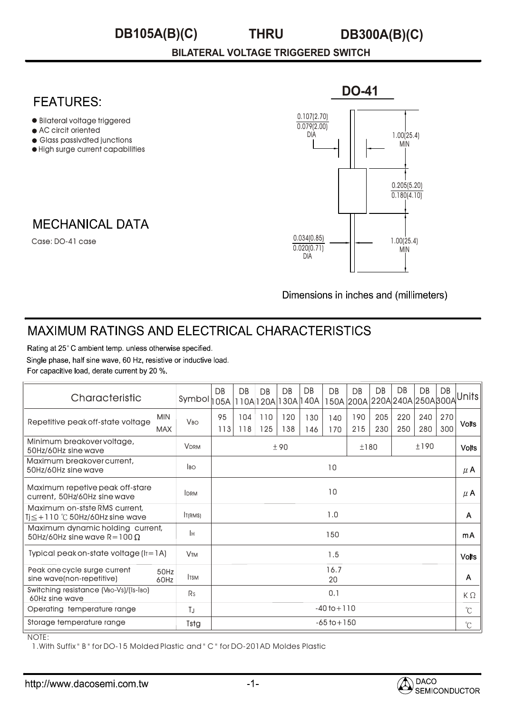#### **THRU DB105A(B)(C) DB300A(B)(C)**

**BILATERAL VOLTAGE TRIGGERED SWITCH**

### **FEATURES:**

- Bilateral voltage triggered
- AC circit oriented
- Glass passivdted junctions
- High surge current capabilities

## **MECHANICAL DATA**

Case: DO-41 case



Dimensions in inches and (millimeters)

# MAXIMUM RATINGS AND ELECTRICAL CHARACTERISTICS

Rating at 25°C ambient temp. unless otherwise specified. Single phase, half sine wave, 60 Hz, resistive or inductive load. For capacitive load, derate current by 20 %.

| Characteristic                                                            | Symbol <sub>1</sub>   | DB<br>05A            | DB<br>110A 120A | DB         | DB         | DB.<br>130A 140A | DB<br>150A | DB<br> 200A 220A 240A 250A 300A | DB         | DB         | DB           | DB         | Unitsl       |
|---------------------------------------------------------------------------|-----------------------|----------------------|-----------------|------------|------------|------------------|------------|---------------------------------|------------|------------|--------------|------------|--------------|
| <b>MIN</b><br>Repetitive peak off-state voltage<br><b>MAX</b>             | <b>V<sub>BO</sub></b> | 95<br>113            | 104<br>118      | 110<br>125 | 120<br>138 | 130<br>146       | 140<br>170 | 190<br>215                      | 205<br>230 | 220<br>250 | 240<br>280   | 270<br>300 | <b>Volts</b> |
| Minimum breakover voltage,<br>50Hz/60Hz sine wave                         | <b>VDRM</b>           | ±190<br>±180<br>± 90 |                 |            |            |                  |            |                                 |            |            | <b>Volts</b> |            |              |
| Maximum breakover current,<br>50Hz/60Hz sine wave                         | <b>IBO</b>            | 10                   |                 |            |            |                  |            |                                 |            |            |              | $\mu$ A    |              |
| Maximum repetive peak off-stare<br>current, 50Hz/60Hz sine wave           | <b>IDRM</b>           | 10                   |                 |            |            |                  |            |                                 |            |            |              | $\mu$ A    |              |
| Maximum on-stste RMS current.<br>$T\leq$ + 1 10 °C 50Hz/60Hz sine wave    | <b>TIRMS</b>          | 1.0                  |                 |            |            |                  |            |                                 |            |            |              | A          |              |
| Maximum dynamic holding current,<br>50Hz/60Hz sine wave R = $100 \Omega$  | Ιн                    | 150                  |                 |            |            |                  |            |                                 |            |            | mA           |            |              |
| Typical peak on-state voltage $(I_{T} = 1A)$                              | Vтм                   | 1.5                  |                 |            |            |                  |            |                                 |            |            | <b>Volts</b> |            |              |
| Peak one cycle surge current<br>50Hz<br>sine wave(non-repetitive)<br>60Hz | <b>I</b> TSM          | 16.7<br>20           |                 |            |            |                  |            |                                 |            |            | A            |            |              |
| Switching resistance (Vso-Vs)/(Is-Iso)<br>60Hz sine wave                  | Rs                    |                      | 0.1             |            |            |                  |            |                                 |            |            |              | KΩ         |              |
| Operating temperature range                                               | ТJ                    |                      | $-40$ to $+110$ |            |            |                  |            |                                 |            |            |              | $\hat{C}$  |              |
| Storage temperature range                                                 | Tstg                  | $-65$ to $+150$      |                 |            |            |                  |            |                                 |            |            | $\rm{C}$     |            |              |

NOTE:

1.With Suffix " B " for DO-15 Molded Plastic and " C " for DO-201AD Moldes Plastic

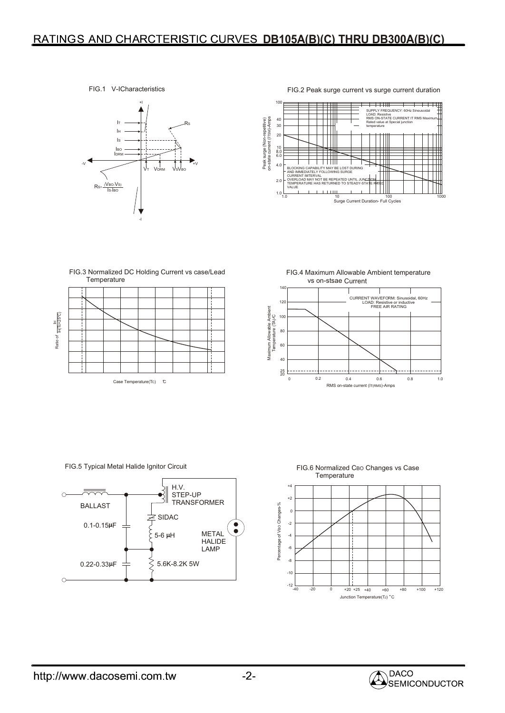### **RATINGS AND CHARCTERISTIC CURVES DB105A(B)(C) THRU DB300A(B)(C)**

FIG.1 V-ICharacteristics



FIG.2 Peak surge current vs surge current duration



FIG.3 Normalized DC Holding Current vs case/Lead **Temperature** 



Case Temperature(TC)  $\mathbb{C}$ 





FIG.5 Typical Metal Halide Ignitor Circuit



FIG.6 Normalized CBO Changes vs Case **Temperature** 

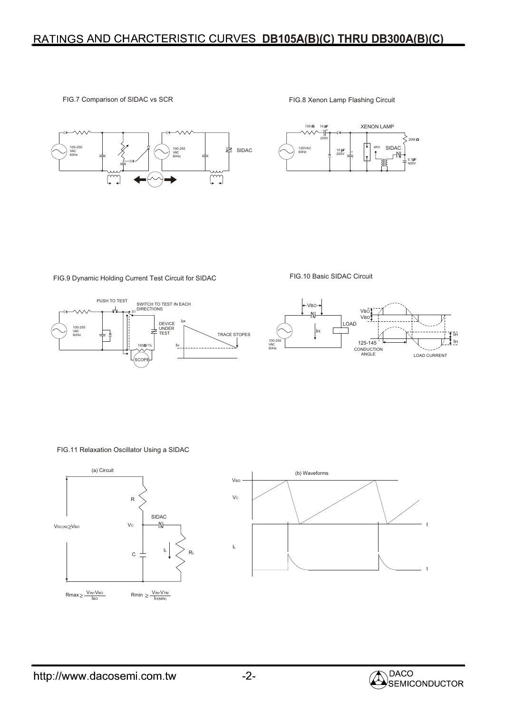### RATINGS AND CHARCTERISTIC CURVES **DB105A(B)(C) THRU DB300A(B)(C)**

FIG.7 Comparison of SIDAC vs SCR

#### FIG.8 Xenon Lamp Flashing Circuit



FIG.9 Dynamic Holding Current Test Circuit for SIDAC



FIG.10 Basic SIDAC Circuit



FIG.11 Relaxation Oscillator Using a SIDAC